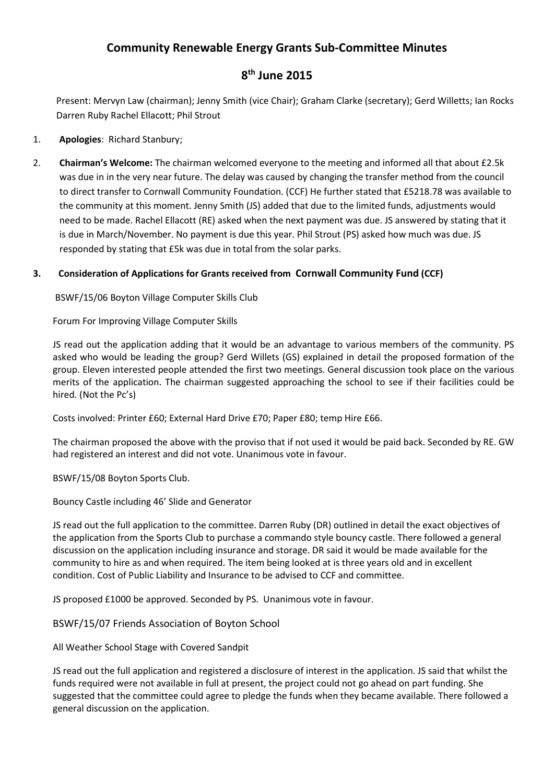## Community Renewable Energy Grants Sub-Committee Minutes

## 8<sup>th</sup> June 2015

Present: Mervyn Law (chairman); Jenny Smith (vice Chair); Graham Clarke (secretary); Gerd Willetts; Ian Rocks Darren Ruby Rachel Ellacott; Phil Strout

- 1. Apologies: Richard Stanbury;
- 2. Chairman's Welcome: The chairman welcomed everyone to the meeting and informed all that about £2.5k was due in in the very near future. The delay was caused by changing the transfer method from the council to direct transfer to Cornwall Community Foundation. (CCF) He further stated that £5218.78 was available to the community at this moment. Jenny Smith (JS) added that due to the limited funds, adjustments would need to be made. Rachel Ellacott (RE) asked when the next payment was due. JS answered by stating that it is due in March/November. No payment is due this year. Phil Strout (PS) asked how much was due. JS responded by stating that £5k was due in total from the solar parks.

## 3. Consideration of Applications for Grants received from Cornwall Community Fund (CCF)

BSWF/15/06 Boyton Village Computer Skills Club

Forum For Improving Village Computer Skills

JS read out the application adding that it would be an advantage to various members of the community. PS asked who would be leading the group? Gerd Willets (GS) explained in detail the proposed formation of the group. Eleven interested people attended the first two meetings. General discussion took place on the various merits of the application. The chairman suggested approaching the school to see if their facilities could be hired. (Not the Pc's)

Costs involved: Printer £60; External Hard Drive £70; Paper £80; temp Hire £66.

The chairman proposed the above with the proviso that if not used it would be paid back. Seconded by RE. GW had registered an interest and did not vote. Unanimous vote in favour.

BSWF/15/08 Boyton Sports Club.

Bouncy Castle including 46' Slide and Generator

JS read out the full application to the committee. Darren Ruby (DR) outlined in detail the exact objectives of the application from the Sports Club to purchase a commando style bouncy castle. There followed a general discussion on the application including insurance and storage. DR said it would be made available for the community to hire as and when required. The item being looked at is three years old and in excellent condition. Cost of Public Liability and Insurance to be advised to CCF and committee.

JS proposed £1000 be approved. Seconded by PS. Unanimous vote in favour.

BSWF/15/07 Friends Association of Boyton School

All Weather School Stage with Covered Sandpit

JS read out the full application and registered a disclosure of interest in the application. JS said that whilst the funds required were not available in full at present, the project could not go ahead on part funding. She suggested that the committee could agree to pledge the funds when they became available. There followed a general discussion on the application.